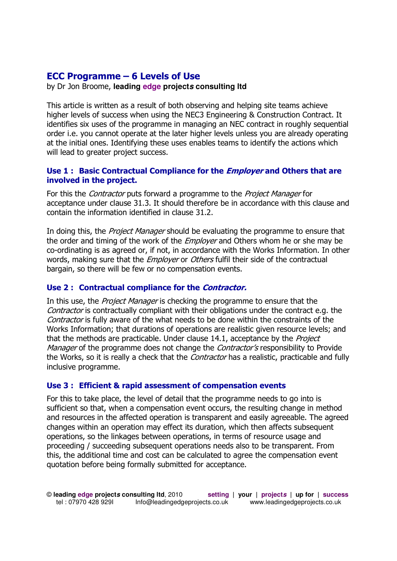# **ECC Programme – 6 Levels of Use**

by Dr Jon Broome, **leading edge projects consulting ltd**

This article is written as a result of both observing and helping site teams achieve higher levels of success when using the NEC3 Engineering & Construction Contract. It identifies six uses of the programme in managing an NEC contract in roughly sequential order i.e. you cannot operate at the later higher levels unless you are already operating at the initial ones. Identifying these uses enables teams to identify the actions which will lead to greater project success.

## **Use 1 : Basic Contractual Compliance for the Employer and Others that are involved in the project.**

For this the *Contractor* puts forward a programme to the *Project Manager* for acceptance under clause 31.3. It should therefore be in accordance with this clause and contain the information identified in clause 31.2.

In doing this, the *Project Manager* should be evaluating the programme to ensure that the order and timing of the work of the *Employer* and Others whom he or she may be co-ordinating is as agreed or, if not, in accordance with the Works Information. In other words, making sure that the *Employer* or *Others* fulfil their side of the contractual bargain, so there will be few or no compensation events.

#### **Use 2 : Contractual compliance for the Contractor.**

In this use, the *Project Manager* is checking the programme to ensure that the Contractor is contractually compliant with their obligations under the contract e.g. the Contractor is fully aware of the what needs to be done within the constraints of the Works Information; that durations of operations are realistic given resource levels; and that the methods are practicable. Under clause 14.1, acceptance by the Project Manager of the programme does not change the *Contractor's* responsibility to Provide the Works, so it is really a check that the *Contractor* has a realistic, practicable and fully inclusive programme.

#### **Use 3 : Efficient & rapid assessment of compensation events**

For this to take place, the level of detail that the programme needs to go into is sufficient so that, when a compensation event occurs, the resulting change in method and resources in the affected operation is transparent and easily agreeable. The agreed changes within an operation may effect its duration, which then affects subsequent operations, so the linkages between operations, in terms of resource usage and proceeding / succeeding subsequent operations needs also to be transparent. From this, the additional time and cost can be calculated to agree the compensation event quotation before being formally submitted for acceptance.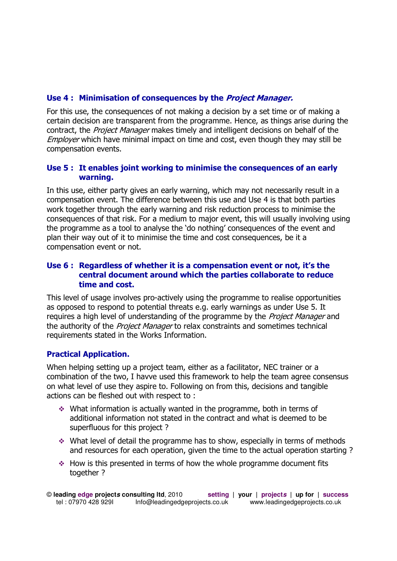#### **Use 4 : Minimisation of consequences by the Project Manager.**

For this use, the consequences of not making a decision by a set time or of making a certain decision are transparent from the programme. Hence, as things arise during the contract, the *Project Manager* makes timely and intelligent decisions on behalf of the Employer which have minimal impact on time and cost, even though they may still be compensation events.

#### **Use 5 : It enables joint working to minimise the consequences of an early warning.**

In this use, either party gives an early warning, which may not necessarily result in a compensation event. The difference between this use and Use 4 is that both parties work together through the early warning and risk reduction process to minimise the consequences of that risk. For a medium to major event, this will usually involving using the programme as a tool to analyse the 'do nothing' consequences of the event and plan their way out of it to minimise the time and cost consequences, be it a compensation event or not.

## **Use 6 : Regardless of whether it is a compensation event or not, it's the central document around which the parties collaborate to reduce time and cost.**

This level of usage involves pro-actively using the programme to realise opportunities as opposed to respond to potential threats e.g. early warnings as under Use 5. It requires a high level of understanding of the programme by the *Project Manager* and the authority of the *Project Manager* to relax constraints and sometimes technical requirements stated in the Works Information.

# **Practical Application.**

When helping setting up a project team, either as a facilitator, NEC trainer or a combination of the two, I havve used this framework to help the team agree consensus on what level of use they aspire to. Following on from this, decisions and tangible actions can be fleshed out with respect to :

- $\cdot$  What information is actually wanted in the programme, both in terms of additional information not stated in the contract and what is deemed to be superfluous for this project ?
- $\cdot$  What level of detail the programme has to show, especially in terms of methods and resources for each operation, given the time to the actual operation starting ?
- $\cdot$  How is this presented in terms of how the whole programme document fits together?